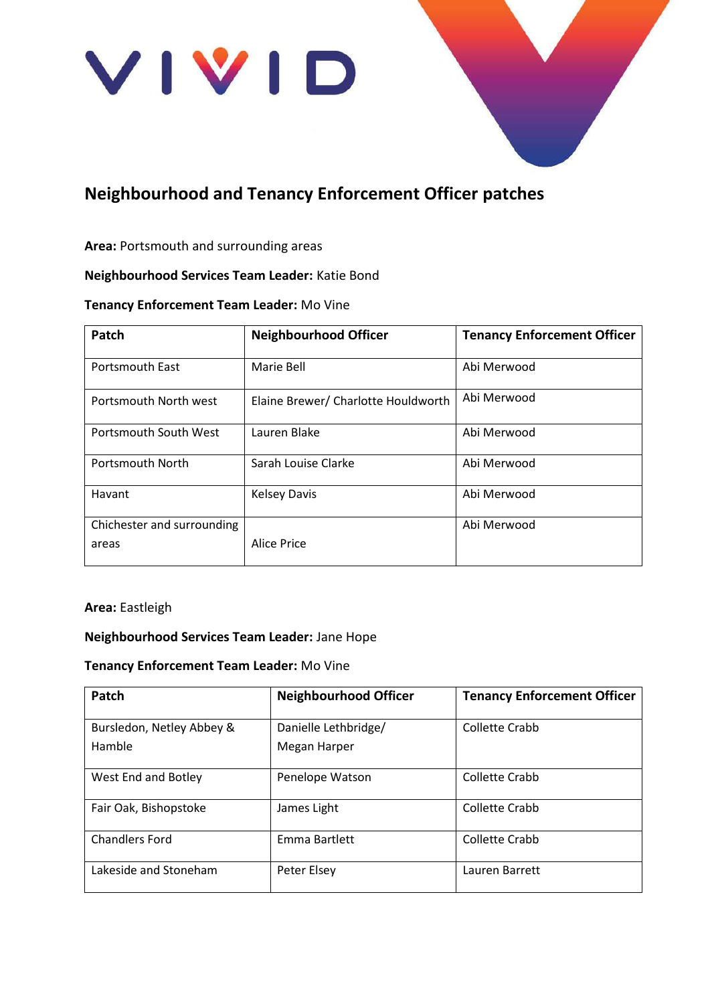

# **Neighbourhood and Tenancy Enforcement Officer patches**

#### **Area:** Portsmouth and surrounding areas

# **Neighbourhood Services Team Leader:** Katie Bond

#### **Tenancy Enforcement Team Leader:** Mo Vine

| Patch                      | <b>Neighbourhood Officer</b>        | <b>Tenancy Enforcement Officer</b> |
|----------------------------|-------------------------------------|------------------------------------|
| <b>Portsmouth East</b>     | Marie Bell                          | Abi Merwood                        |
| Portsmouth North west      | Elaine Brewer/ Charlotte Houldworth | Abi Merwood                        |
| Portsmouth South West      | Lauren Blake                        | Abi Merwood                        |
| Portsmouth North           | Sarah Louise Clarke                 | Abi Merwood                        |
| Havant                     | <b>Kelsey Davis</b>                 | Abi Merwood                        |
| Chichester and surrounding |                                     | Abi Merwood                        |
| areas                      | Alice Price                         |                                    |

#### **Area:** Eastleigh

#### **Neighbourhood Services Team Leader:** Jane Hope

#### **Tenancy Enforcement Team Leader:** Mo Vine

| Patch                               | <b>Neighbourhood Officer</b>         | <b>Tenancy Enforcement Officer</b> |
|-------------------------------------|--------------------------------------|------------------------------------|
| Bursledon, Netley Abbey &<br>Hamble | Danielle Lethbridge/<br>Megan Harper | Collette Crabb                     |
| West End and Botley                 | Penelope Watson                      | Collette Crabb                     |
| Fair Oak, Bishopstoke               | James Light                          | Collette Crabb                     |
| <b>Chandlers Ford</b>               | Emma Bartlett                        | Collette Crabb                     |
| Lakeside and Stoneham               | Peter Elsey                          | Lauren Barrett                     |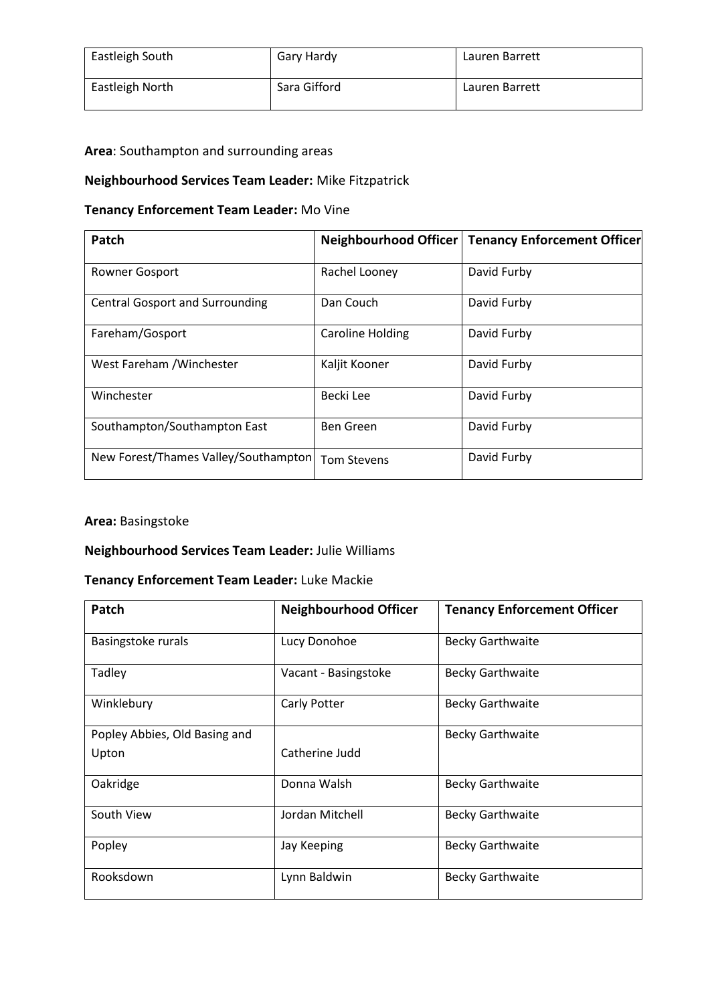| Eastleigh South | Gary Hardy   | Lauren Barrett |
|-----------------|--------------|----------------|
| Eastleigh North | Sara Gifford | Lauren Barrett |

# **Area**: Southampton and surrounding areas

# **Neighbourhood Services Team Leader:** Mike Fitzpatrick

# **Tenancy Enforcement Team Leader:** Mo Vine

| Patch                                  |                         | Neighbourhood Officer   Tenancy Enforcement Officer |
|----------------------------------------|-------------------------|-----------------------------------------------------|
| <b>Rowner Gosport</b>                  | Rachel Looney           | David Furby                                         |
| <b>Central Gosport and Surrounding</b> | Dan Couch               | David Furby                                         |
| Fareham/Gosport                        | <b>Caroline Holding</b> | David Furby                                         |
| West Fareham / Winchester              | Kaljit Kooner           | David Furby                                         |
| Winchester                             | Becki Lee               | David Furby                                         |
| Southampton/Southampton East           | Ben Green               | David Furby                                         |
| New Forest/Thames Valley/Southampton   | <b>Tom Stevens</b>      | David Furby                                         |

#### **Area:** Basingstoke

#### **Neighbourhood Services Team Leader:** Julie Williams

### **Tenancy Enforcement Team Leader:** Luke Mackie

| Patch                         | <b>Neighbourhood Officer</b> | <b>Tenancy Enforcement Officer</b> |
|-------------------------------|------------------------------|------------------------------------|
| Basingstoke rurals            | Lucy Donohoe                 | <b>Becky Garthwaite</b>            |
| Tadley                        | Vacant - Basingstoke         | <b>Becky Garthwaite</b>            |
| Winklebury                    | Carly Potter                 | <b>Becky Garthwaite</b>            |
| Popley Abbies, Old Basing and |                              | <b>Becky Garthwaite</b>            |
| Upton                         | Catherine Judd               |                                    |
| Oakridge                      | Donna Walsh                  | <b>Becky Garthwaite</b>            |
| South View                    | Jordan Mitchell              | <b>Becky Garthwaite</b>            |
| Popley                        | Jay Keeping                  | <b>Becky Garthwaite</b>            |
| Rooksdown                     | Lynn Baldwin                 | <b>Becky Garthwaite</b>            |